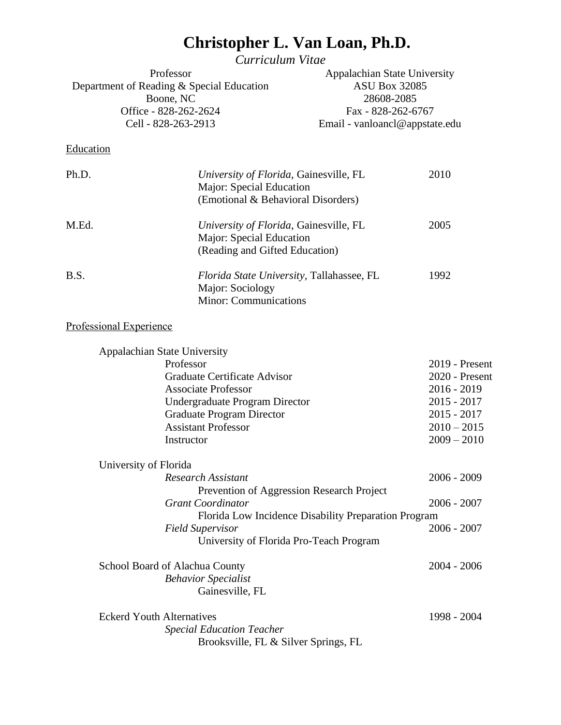# **Christopher L. Van Loan, Ph.D.**

*Curriculum Vitae*

| Professor                                 | Appalachian State University   |
|-------------------------------------------|--------------------------------|
| Department of Reading & Special Education | <b>ASU Box 32085</b>           |
| Boone, NC                                 | 28608-2085                     |
| Office - 828-262-2624                     | Fax - 828-262-6767             |
| Cell - 828-263-2913                       | Email - vanloancl@appstate.edu |
|                                           |                                |
| Education                                 |                                |

| Ph.D. | University of Florida, Gainesville, FL<br>Major: Special Education<br>(Emotional & Behavioral Disorders) | 2010  |
|-------|----------------------------------------------------------------------------------------------------------|-------|
| M.Ed. | University of Florida, Gainesville, FL<br>Major: Special Education<br>(Reading and Gifted Education)     | 2005  |
| B.S.  | <i>Florida State University</i> , Tallahassee, FL<br>Major: Sociology<br><b>Minor: Communications</b>    | 1992. |

# Professional Experience

| <b>Appalachian State University</b>       |                  |
|-------------------------------------------|------------------|
| Professor                                 | $2019$ - Present |
| Graduate Certificate Advisor              | 2020 - Present   |
| <b>Associate Professor</b>                | $2016 - 2019$    |
| Undergraduate Program Director            | $2015 - 2017$    |
| Graduate Program Director                 | $2015 - 2017$    |
| <b>Assistant Professor</b>                | $2010 - 2015$    |
| Instructor                                | $2009 - 2010$    |
| University of Florida                     |                  |
| <b>Research Assistant</b>                 | $2006 - 2009$    |
| Prevention of Aggression Research Project |                  |
| <b>Grant Coordinator</b>                  | $2006 - 2007$    |

| $2006 - 2007$ |
|---------------|
|               |
| 2004 - 2006   |
|               |
|               |
|               |

| <b>Eckerd Youth Alternatives</b>     | 1998 - 2004 |
|--------------------------------------|-------------|
| <b>Special Education Teacher</b>     |             |
| Brooksville, FL & Silver Springs, FL |             |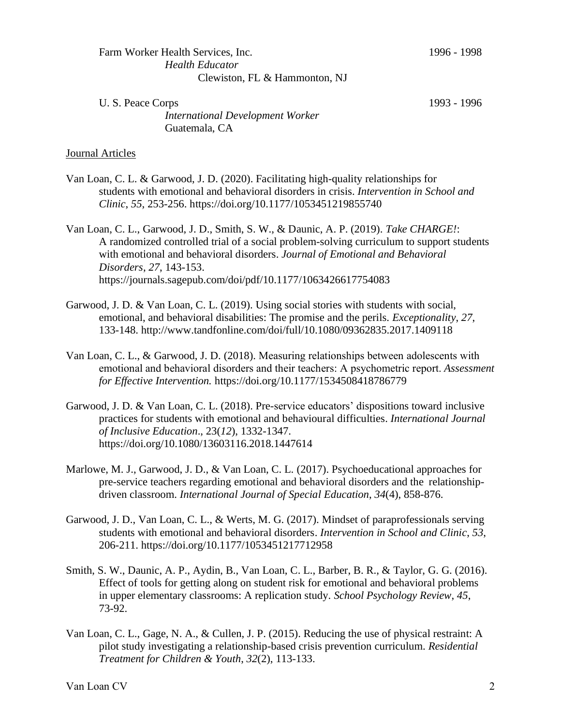| U. S. Peace Corps                       |  |
|-----------------------------------------|--|
| <b>International Development Worker</b> |  |
| Guatemala, CA                           |  |

1993 - 1996

#### Journal Articles

- Van Loan, C. L. & Garwood, J. D. (2020). Facilitating high-quality relationships for students with emotional and behavioral disorders in crisis. *Intervention in School and Clinic*, *55*, 253-256. https://doi.org/10.1177/1053451219855740
- Van Loan, C. L., Garwood, J. D., Smith, S. W., & Daunic, A. P. (2019). *Take CHARGE!*: A randomized controlled trial of a social problem-solving curriculum to support students with emotional and behavioral disorders. *Journal of Emotional and Behavioral Disorders*, *27*, 143-153. https://journals.sagepub.com/doi/pdf/10.1177/1063426617754083
- Garwood, J. D. & Van Loan, C. L. (2019). Using social stories with students with social, emotional, and behavioral disabilities: The promise and the perils. *Exceptionality*, *27*, 133-148. http://www.tandfonline.com/doi/full/10.1080/09362835.2017.1409118
- Van Loan, C. L., & Garwood, J. D. (2018). Measuring relationships between adolescents with emotional and behavioral disorders and their teachers: A psychometric report. *Assessment for Effective Intervention.* https://doi.org/10.1177/1534508418786779
- Garwood, J. D. & Van Loan, C. L. (2018). Pre-service educators' dispositions toward inclusive practices for students with emotional and behavioural difficulties. *International Journal of Inclusive Education*., 23(*12*), 1332-1347. https://doi.org/10.1080/13603116.2018.1447614
- Marlowe, M. J., Garwood, J. D., & Van Loan, C. L. (2017). Psychoeducational approaches for pre-service teachers regarding emotional and behavioral disorders and the relationshipdriven classroom. *International Journal of Special Education*, *34*(4), 858-876.
- Garwood, J. D., Van Loan, C. L., & Werts, M. G. (2017). Mindset of paraprofessionals serving students with emotional and behavioral disorders. *Intervention in School and Clinic*, *53*, 206-211. https://doi.org/10.1177/1053451217712958
- Smith, S. W., Daunic, A. P., Aydin, B., Van Loan, C. L., Barber, B. R., & Taylor, G. G. (2016). Effect of tools for getting along on student risk for emotional and behavioral problems in upper elementary classrooms: A replication study. *School Psychology Review*, *45*, 73-92.
- Van Loan, C. L., Gage, N. A., & Cullen, J. P. (2015). Reducing the use of physical restraint: A pilot study investigating a relationship-based crisis prevention curriculum. *Residential Treatment for Children & Youth*, *32*(2), 113-133.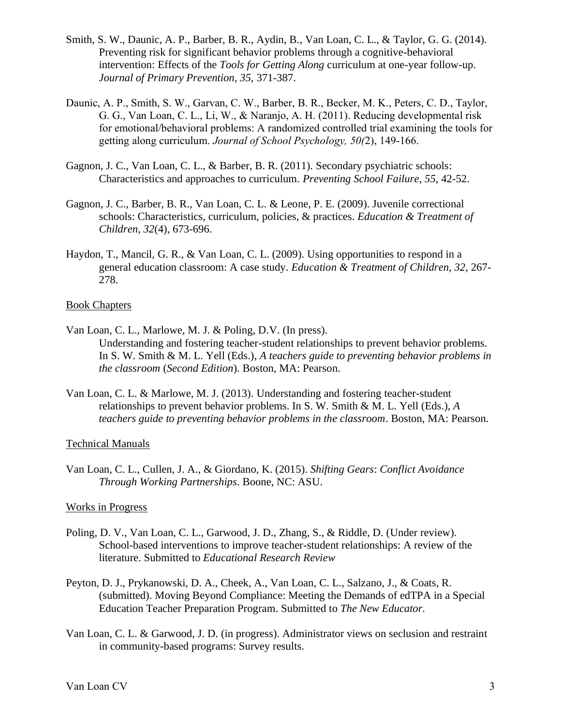- Smith, S. W., Daunic, A. P., Barber, B. R., Aydin, B., Van Loan, C. L., & Taylor, G. G. (2014). Preventing risk for significant behavior problems through a cognitive-behavioral intervention: Effects of the *Tools for Getting Along* curriculum at one-year follow-up. *Journal of Primary Prevention, 35,* 371-387.
- Daunic, A. P., Smith, S. W., Garvan, C. W., Barber, B. R., Becker, M. K., Peters, C. D., Taylor, G. G., Van Loan, C. L., Li, W., & Naranjo, A. H. (2011). Reducing developmental risk for emotional/behavioral problems: A randomized controlled trial examining the tools for getting along curriculum. *Journal of School Psychology, 50(*2), 149-166.
- Gagnon, J. C., Van Loan, C. L., & Barber, B. R. (2011). Secondary psychiatric schools: Characteristics and approaches to curriculum. *Preventing School Failure*, *55*, 42-52.
- Gagnon, J. C., Barber, B. R., Van Loan, C. L. & Leone, P. E. (2009). Juvenile correctional schools: Characteristics, curriculum, policies, & practices. *Education & Treatment of Children, 32*(4), 673-696.
- Haydon, T., Mancil, G. R., & Van Loan, C. L. (2009). Using opportunities to respond in a general education classroom: A case study. *Education & Treatment of Children, 32,* 267- 278.

#### Book Chapters

- Van Loan, C. L., Marlowe, M. J. & Poling, D.V. (In press). Understanding and fostering teacher-student relationships to prevent behavior problems. In S. W. Smith & M. L. Yell (Eds.), *A teachers guide to preventing behavior problems in the classroom* (*Second Edition*). Boston, MA: Pearson.
- Van Loan, C. L. & Marlowe, M. J. (2013). Understanding and fostering teacher-student relationships to prevent behavior problems. In S. W. Smith & M. L. Yell (Eds.), *A teachers guide to preventing behavior problems in the classroom*. Boston, MA: Pearson.

#### Technical Manuals

Van Loan, C. L., Cullen, J. A., & Giordano, K. (2015). *Shifting Gears*: *Conflict Avoidance Through Working Partnerships*. Boone, NC: ASU.

#### Works in Progress

- Poling, D. V., Van Loan, C. L., Garwood, J. D., Zhang, S., & Riddle, D. (Under review). School-based interventions to improve teacher-student relationships: A review of the literature. Submitted to *Educational Research Review*
- Peyton, D. J., Prykanowski, D. A., Cheek, A., Van Loan, C. L., Salzano, J., & Coats, R. (submitted). Moving Beyond Compliance: Meeting the Demands of edTPA in a Special Education Teacher Preparation Program. Submitted to *The New Educator.*
- Van Loan, C. L. & Garwood, J. D. (in progress). Administrator views on seclusion and restraint in community-based programs: Survey results.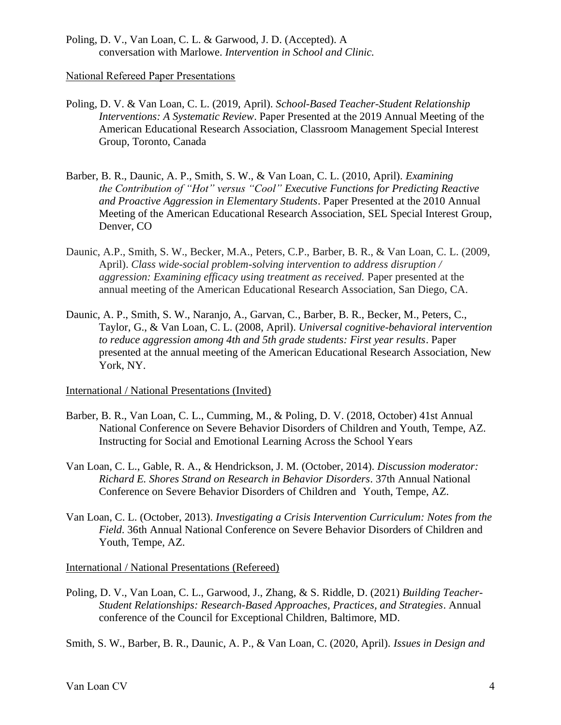Poling, D. V., Van Loan, C. L. & Garwood, J. D. (Accepted). A conversation with Marlowe. *Intervention in School and Clinic.*

National Refereed Paper Presentations

- Poling, D. V. & Van Loan, C. L. (2019, April). *School-Based Teacher-Student Relationship Interventions: A Systematic Review*. Paper Presented at the 2019 Annual Meeting of the American Educational Research Association, Classroom Management Special Interest Group, Toronto, Canada
- Barber, B. R., Daunic, A. P., Smith, S. W., & Van Loan, C. L. (2010, April). *Examining the Contribution of "Hot" versus "Cool" Executive Functions for Predicting Reactive and Proactive Aggression in Elementary Students*. Paper Presented at the 2010 Annual Meeting of the American Educational Research Association, SEL Special Interest Group, Denver, CO
- Daunic, A.P., Smith, S. W., Becker, M.A., Peters, C.P., Barber, B. R., & Van Loan, C. L. (2009, April). *Class wide-social problem-solving intervention to address disruption / aggression: Examining efficacy using treatment as received.* Paper presented at the annual meeting of the American Educational Research Association, San Diego, CA.
- Daunic, A. P., Smith, S. W., Naranjo, A., Garvan, C., Barber, B. R., Becker, M., Peters, C., Taylor, G., & Van Loan, C. L. (2008, April). *Universal cognitive-behavioral intervention to reduce aggression among 4th and 5th grade students: First year results*. Paper presented at the annual meeting of the American Educational Research Association, New York, NY.

International / National Presentations (Invited)

- Barber, B. R., Van Loan, C. L., Cumming, M., & Poling, D. V. (2018, October) 41st Annual National Conference on Severe Behavior Disorders of Children and Youth, Tempe, AZ. Instructing for Social and Emotional Learning Across the School Years
- Van Loan, C. L., Gable, R. A., & Hendrickson, J. M. (October, 2014). *Discussion moderator: Richard E. Shores Strand on Research in Behavior Disorders*. 37th Annual National Conference on Severe Behavior Disorders of Children and Youth, Tempe, AZ.
- Van Loan, C. L. (October, 2013). *Investigating a Crisis Intervention Curriculum: Notes from the Field*. 36th Annual National Conference on Severe Behavior Disorders of Children and Youth, Tempe, AZ.

International / National Presentations (Refereed)

Poling, D. V., Van Loan, C. L., Garwood, J., Zhang, & S. Riddle, D. (2021) *Building Teacher-Student Relationships: Research-Based Approaches, Practices, and Strategies*. Annual conference of the Council for Exceptional Children, Baltimore, MD.

Smith, S. W., Barber, B. R., Daunic, A. P., & Van Loan, C. (2020, April). *Issues in Design and*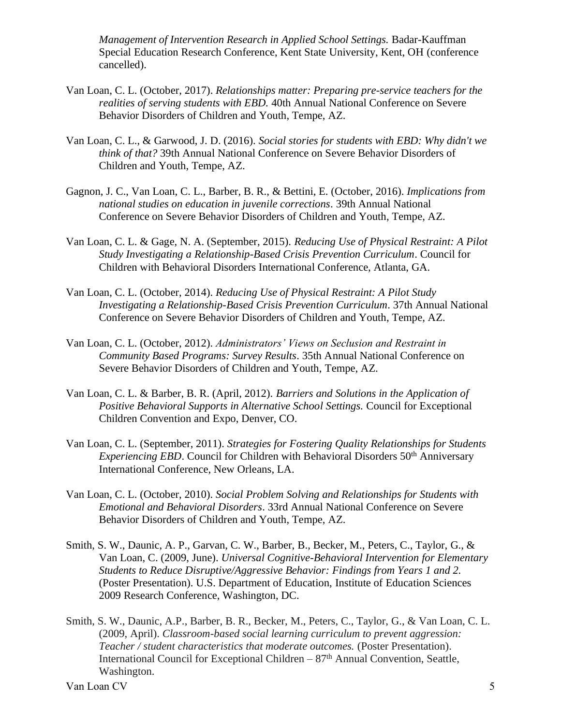*Management of Intervention Research in Applied School Settings.* Badar-Kauffman Special Education Research Conference, Kent State University, Kent, OH (conference cancelled).

- Van Loan, C. L. (October, 2017). *Relationships matter: Preparing pre-service teachers for the realities of serving students with EBD.* 40th Annual National Conference on Severe Behavior Disorders of Children and Youth, Tempe, AZ.
- Van Loan, C. L., & Garwood, J. D. (2016). *Social stories for students with EBD: Why didn't we think of that?* 39th Annual National Conference on Severe Behavior Disorders of Children and Youth, Tempe, AZ.
- Gagnon, J. C., Van Loan, C. L., Barber, B. R., & Bettini, E. (October, 2016). *Implications from national studies on education in juvenile corrections*. 39th Annual National Conference on Severe Behavior Disorders of Children and Youth, Tempe, AZ.
- Van Loan, C. L. & Gage, N. A. (September, 2015). *Reducing Use of Physical Restraint: A Pilot Study Investigating a Relationship-Based Crisis Prevention Curriculum*. Council for Children with Behavioral Disorders International Conference, Atlanta, GA.
- Van Loan, C. L. (October, 2014). *Reducing Use of Physical Restraint: A Pilot Study Investigating a Relationship-Based Crisis Prevention Curriculum*. 37th Annual National Conference on Severe Behavior Disorders of Children and Youth, Tempe, AZ.
- Van Loan, C. L. (October, 2012). *Administrators' Views on Seclusion and Restraint in Community Based Programs: Survey Results*. 35th Annual National Conference on Severe Behavior Disorders of Children and Youth, Tempe, AZ.
- Van Loan, C. L. & Barber, B. R. (April, 2012). *Barriers and Solutions in the Application of Positive Behavioral Supports in Alternative School Settings.* Council for Exceptional Children Convention and Expo, Denver, CO.
- Van Loan, C. L. (September, 2011). *Strategies for Fostering Quality Relationships for Students Experiencing EBD*. Council for Children with Behavioral Disorders 50<sup>th</sup> Anniversary International Conference, New Orleans, LA.
- Van Loan, C. L. (October, 2010). *Social Problem Solving and Relationships for Students with Emotional and Behavioral Disorders*. 33rd Annual National Conference on Severe Behavior Disorders of Children and Youth, Tempe, AZ.
- Smith, S. W., Daunic, A. P., Garvan, C. W., Barber, B., Becker, M., Peters, C., Taylor, G., & Van Loan, C. (2009, June). *Universal Cognitive-Behavioral Intervention for Elementary Students to Reduce Disruptive/Aggressive Behavior: Findings from Years 1 and 2.* (Poster Presentation). U.S. Department of Education, Institute of Education Sciences 2009 Research Conference, Washington, DC.
- Smith, S. W., Daunic, A.P., Barber, B. R., Becker, M., Peters, C., Taylor, G., & Van Loan, C. L. (2009, April). *Classroom-based social learning curriculum to prevent aggression: Teacher / student characteristics that moderate outcomes.* (Poster Presentation). International Council for Exceptional Children  $-87<sup>th</sup>$  Annual Convention, Seattle, Washington.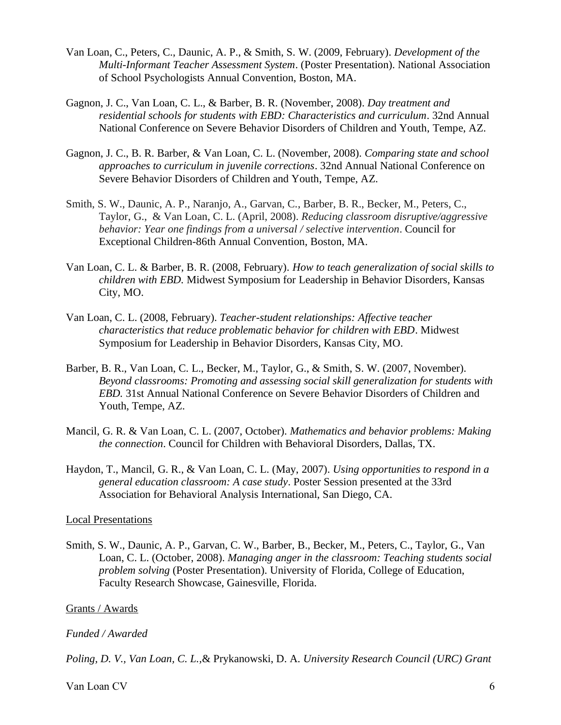- Van Loan, C., Peters, C., Daunic, A. P., & Smith, S. W. (2009, February). *Development of the Multi-Informant Teacher Assessment System*. (Poster Presentation). National Association of School Psychologists Annual Convention, Boston, MA.
- Gagnon, J. C., Van Loan, C. L., & Barber, B. R. (November, 2008). *Day treatment and residential schools for students with EBD: Characteristics and curriculum*. 32nd Annual National Conference on Severe Behavior Disorders of Children and Youth, Tempe, AZ.
- Gagnon, J. C., B. R. Barber, & Van Loan, C. L. (November, 2008). *Comparing state and school approaches to curriculum in juvenile corrections*. 32nd Annual National Conference on Severe Behavior Disorders of Children and Youth, Tempe, AZ.
- Smith, S. W., Daunic, A. P., Naranjo, A., Garvan, C., Barber, B. R., Becker, M., Peters, C., Taylor, G., & Van Loan, C. L. (April, 2008). *Reducing classroom disruptive/aggressive behavior: Year one findings from a universal / selective intervention*. Council for Exceptional Children-86th Annual Convention, Boston, MA.
- Van Loan, C. L. & Barber, B. R. (2008, February). *How to teach generalization of social skills to children with EBD.* Midwest Symposium for Leadership in Behavior Disorders, Kansas City, MO.
- Van Loan, C. L. (2008, February). *Teacher-student relationships: Affective teacher characteristics that reduce problematic behavior for children with EBD*. Midwest Symposium for Leadership in Behavior Disorders, Kansas City, MO.
- Barber, B. R., Van Loan, C. L., Becker, M., Taylor, G., & Smith, S. W. (2007, November). *Beyond classrooms: Promoting and assessing social skill generalization for students with EBD.* 31st Annual National Conference on Severe Behavior Disorders of Children and Youth, Tempe, AZ.
- Mancil, G. R. & Van Loan, C. L. (2007, October). *Mathematics and behavior problems: Making the connection*. Council for Children with Behavioral Disorders, Dallas, TX.
- Haydon, T., Mancil, G. R., & Van Loan, C. L. (May, 2007). *Using opportunities to respond in a general education classroom: A case study*. Poster Session presented at the 33rd Association for Behavioral Analysis International, San Diego, CA.

## Local Presentations

Smith, S. W., Daunic, A. P., Garvan, C. W., Barber, B., Becker, M., Peters, C., Taylor, G., Van Loan, C. L. (October, 2008). *Managing anger in the classroom: Teaching students social problem solving* (Poster Presentation). University of Florida, College of Education, Faculty Research Showcase, Gainesville, Florida.

## Grants / Awards

## *Funded / Awarded*

*Poling, D. V., Van Loan, C. L.,*& Prykanowski, D. A*. University Research Council (URC) Grant*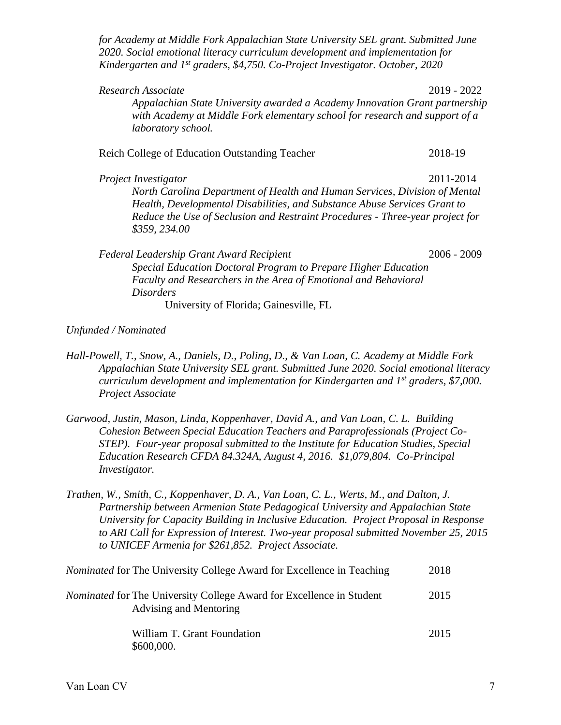*for Academy at Middle Fork Appalachian State University SEL grant. Submitted June 2020. Social emotional literacy curriculum development and implementation for Kindergarten and 1st graders, \$4,750. Co-Project Investigator. October, 2020*

| Research Associate<br>Appalachian State University awarded a Academy Innovation Grant partnership<br>with Academy at Middle Fork elementary school for research and support of a<br>laboratory school.                                                                            | 2019 - 2022   |
|-----------------------------------------------------------------------------------------------------------------------------------------------------------------------------------------------------------------------------------------------------------------------------------|---------------|
| Reich College of Education Outstanding Teacher                                                                                                                                                                                                                                    | 2018-19       |
| Project Investigator<br>North Carolina Department of Health and Human Services, Division of Mental<br>Health, Developmental Disabilities, and Substance Abuse Services Grant to<br>Reduce the Use of Seclusion and Restraint Procedures - Three-year project for<br>\$359, 234.00 | 2011-2014     |
| <b>Federal Leadership Grant Award Recipient</b><br>Special Education Doctoral Program to Prepare Higher Education<br>Faculty and Researchers in the Area of Emotional and Behavioral<br>Disorders                                                                                 | $2006 - 2009$ |

University of Florida; Gainesville, FL

*Unfunded / Nominated*

- *Hall-Powell, T., Snow, A., Daniels, D., Poling, D., & Van Loan, C. Academy at Middle Fork Appalachian State University SEL grant. Submitted June 2020. Social emotional literacy curriculum development and implementation for Kindergarten and 1st graders, \$7,000. Project Associate*
- *Garwood, Justin, Mason, Linda, Koppenhaver, David A., and Van Loan, C. L. Building Cohesion Between Special Education Teachers and Paraprofessionals (Project Co-STEP). Four-year proposal submitted to the Institute for Education Studies, Special Education Research CFDA 84.324A, August 4, 2016. \$1,079,804. Co-Principal Investigator.*
- *Trathen, W., Smith, C., Koppenhaver, D. A., Van Loan, C. L., Werts, M., and Dalton, J. Partnership between Armenian State Pedagogical University and Appalachian State University for Capacity Building in Inclusive Education. Project Proposal in Response to ARI Call for Expression of Interest. Two-year proposal submitted November 25, 2015 to UNICEF Armenia for \$261,852. Project Associate.*

| <i>Nominated</i> for The University College Award for Excellence in Teaching                          | 2018 |
|-------------------------------------------------------------------------------------------------------|------|
| <i>Nominated</i> for The University College Award for Excellence in Student<br>Advising and Mentoring | 2015 |
| William T. Grant Foundation<br>\$600,000.                                                             | 2015 |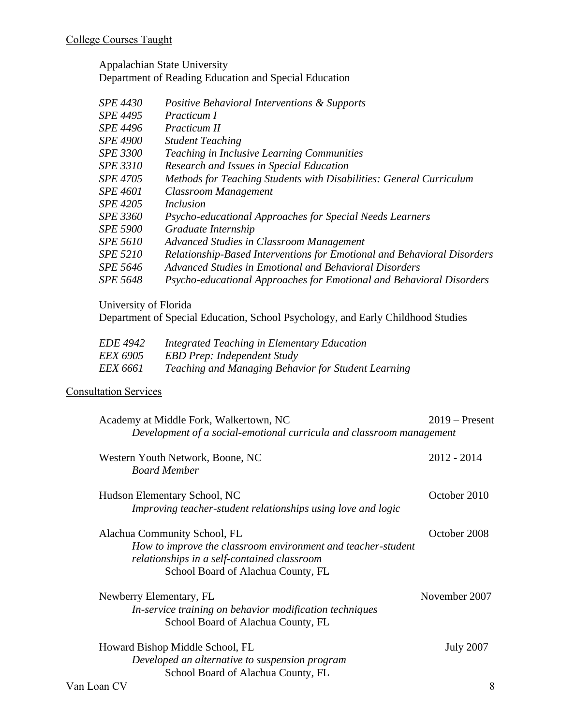Appalachian State University Department of Reading Education and Special Education

| <b>SPE 4430</b> | <i>Positive Behavioral Interventions &amp; Supports</i>                 |
|-----------------|-------------------------------------------------------------------------|
| <i>SPE 4495</i> | Practicum I                                                             |
| <b>SPE 4496</b> | Practicum II                                                            |
| <b>SPE 4900</b> | <b>Student Teaching</b>                                                 |
| <b>SPE 3300</b> | <b>Teaching in Inclusive Learning Communities</b>                       |
| <i>SPE 3310</i> | Research and Issues in Special Education                                |
| SPE 4705        | Methods for Teaching Students with Disabilities: General Curriculum     |
| <i>SPE 4601</i> | Classroom Management                                                    |
| SPE 4205        | Inclusion                                                               |
| <i>SPE 3360</i> | Psycho-educational Approaches for Special Needs Learners                |
| <b>SPE 5900</b> | Graduate Internship                                                     |
| <i>SPE 5610</i> | Advanced Studies in Classroom Management                                |
| <b>SPE 5210</b> | Relationship-Based Interventions for Emotional and Behavioral Disorders |
| <i>SPE 5646</i> | Advanced Studies in Emotional and Behavioral Disorders                  |
| <b>SPE 5648</b> | Psycho-educational Approaches for Emotional and Behavioral Disorders    |
|                 |                                                                         |

University of Florida

Department of Special Education, School Psychology, and Early Childhood Studies

| <i>EDE 4942</i> | Integrated Teaching in Elementary Education         |
|-----------------|-----------------------------------------------------|
| <i>EEX 6905</i> | <b>EBD Prep: Independent Study</b>                  |
| <i>EEX 6661</i> | Teaching and Managing Behavior for Student Learning |

# Consultation Services

| Academy at Middle Fork, Walkertown, NC<br>Development of a social-emotional curricula and classroom management                                                                    | $2019$ – Present |  |
|-----------------------------------------------------------------------------------------------------------------------------------------------------------------------------------|------------------|--|
| Western Youth Network, Boone, NC<br><b>Board Member</b>                                                                                                                           | $2012 - 2014$    |  |
| Hudson Elementary School, NC<br>Improving teacher-student relationships using love and logic                                                                                      | October 2010     |  |
| Alachua Community School, FL<br>How to improve the classroom environment and teacher-student<br>relationships in a self-contained classroom<br>School Board of Alachua County, FL | October 2008     |  |
| Newberry Elementary, FL<br>In-service training on behavior modification techniques<br>School Board of Alachua County, FL                                                          | November 2007    |  |
| Howard Bishop Middle School, FL<br>Developed an alternative to suspension program<br>School Board of Alachua County, FL                                                           | <b>July 2007</b> |  |